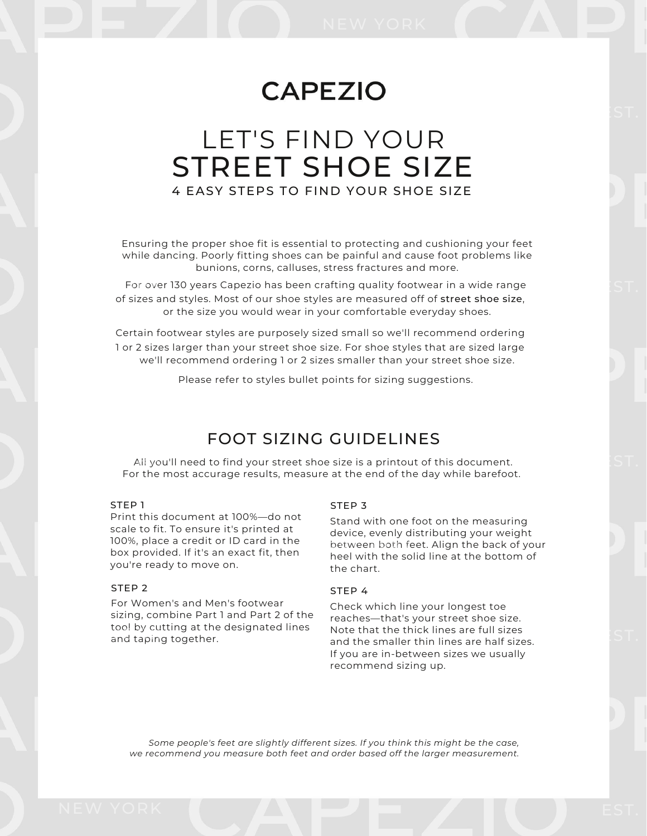#### $E$  is extended. STREET SHOE SIZE 4 EASY STEPS TO FIND YOUR SHOE SIZE LET'S FIND YOUR

Ensuring the proper shoe fit is essential to protecting and cushioning your feet while dancing. Poorly fitting shoes can be painful and cause foot problems like bunions, corns, calluses, stress fractures and more.

For over 130 years Capezio has been crafting quality footwear in a wide range of sizes and styles. Most of our shoe styles are measured off of street shoe size, or the size you would wear in your comfortable everyday shoes.

> Certain footwear styles are purposely sized small so we'll recommend ordering 1 or 2 sizes larger than your street shoe size. For shoe styles that are sized large we'll recommend ordering 1 or 2 sizes smaller than your street shoe size.

> > Please refer to styles bullet points for sizing suggestions.

#### FOOT SIZING GUIDELINES

All you'll need to find your street shoe size is a printout of this document. For the most accurage results, measure at the end of the day while barefoot.

#### STEP 1

Print this document at 100%—do not scale to fit. To ensure it's printed at 100%, place a credit or ID card in the box provided. If it's an exact fit, then you're ready to move on.

#### STEP 2 STEP 4

For Women's and Men's footwear sizing, combine Part 1 and Part 2 of the tool by cutting at the designated lines tool by cutting at the<br>and taping together.

#### STEP 3

Stand with one foot on the measuring device, evenly distributing your weight between both feet. Align the back of your<br>heal with the solid line at the betters of heel with the solid line at the bottom of the chart.

Check which line your longest toe reaches—that's your street shoe size. Note that the thick lines are full sizes and the smaller thin lines are half sizes. If you are in-between sizes we usually recommend sizing up.

*Some people's feet are slightly different sizes. If you think this might be the case, we recommend you measure both feet and order based off the larger measurement.*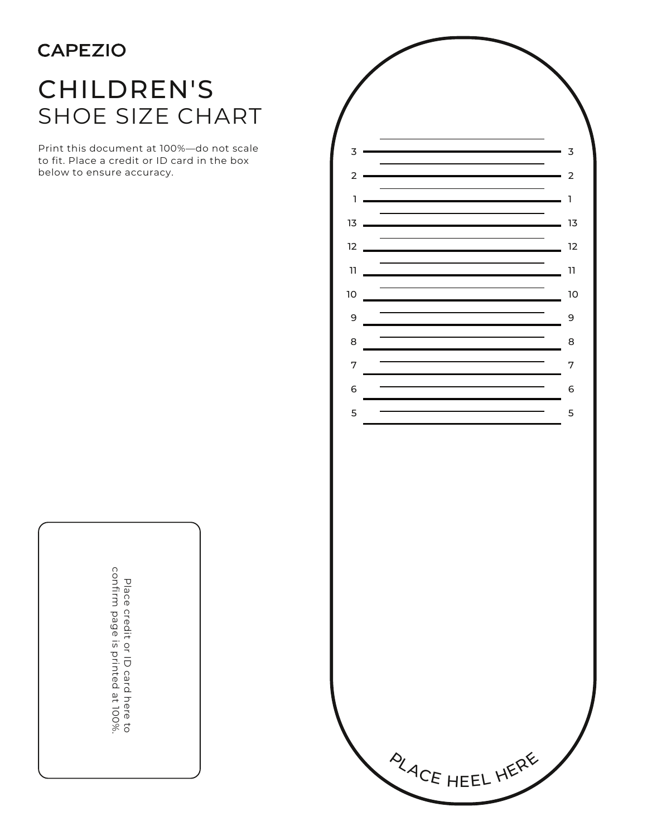# SHOE SIZE CHART CHILDREN'S

Print this document at 100%—do not scale to fit. Place a credit or ID card in the box below to ensure accuracy.



Place r<br>ወ a<br>Fi or ID card here to confirm pag e m. printe d م<br>ب 10 0 %.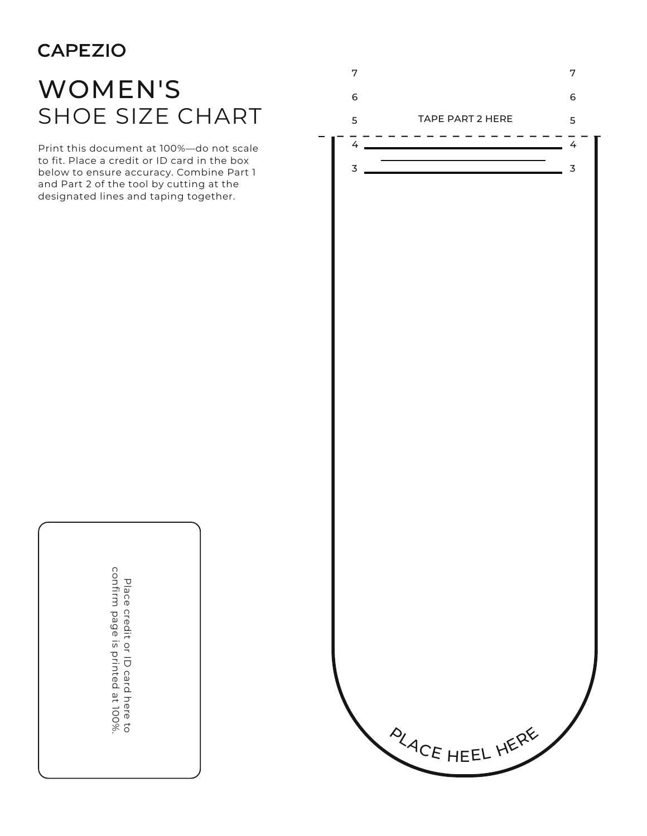# WOMEN'S SHOE SIZE CHART

Print this document at 100%—do not scale to fit. Place a credit or ID card in the box below to ensure accuracy. Combine Part 1 and Part 2 of the tool by cutting at the designated lines and taping together.



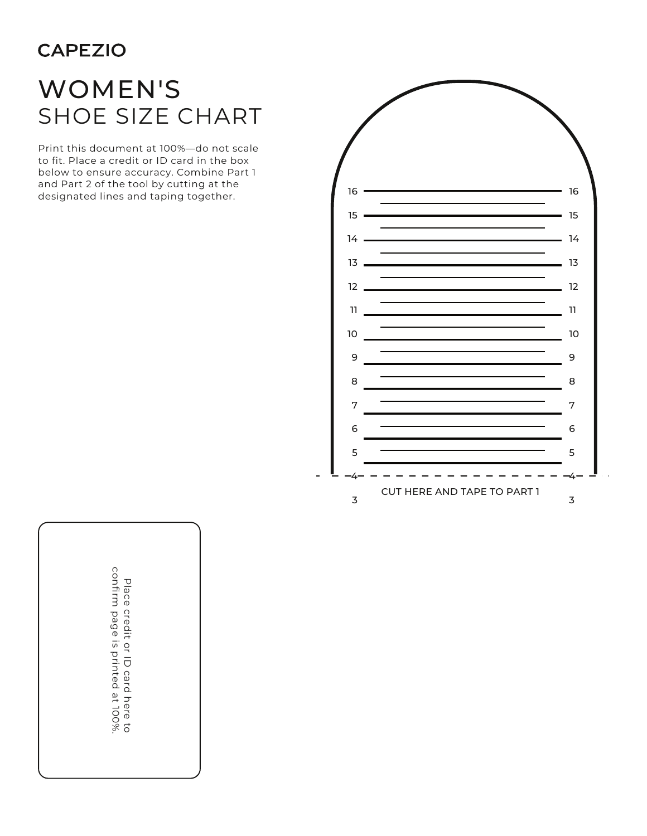# WOMEN'S SHOE SIZE CHART

Print this document at 100%—do not scale to fit. Place a credit or ID card in the box below to ensure accuracy. Combine Part 1 and Part 2 of the tool by cutting at the designated lines and taping together.



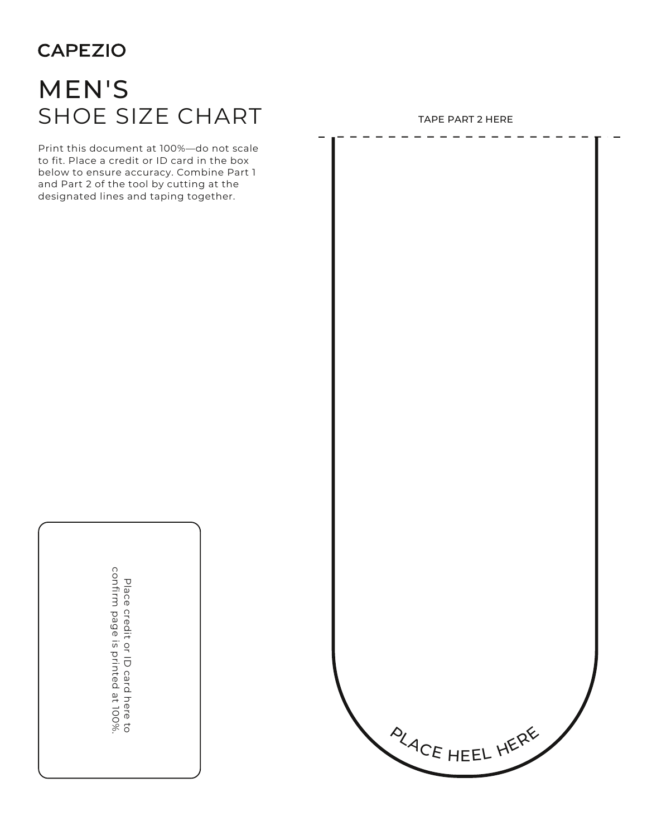# SHOE SIZE CHART MEN'S

Print this document at 100%—do not scale to fit. Place a credit or ID card in the box below to ensure accuracy. Combine Part 1 and Part 2 of the tool by cutting at the designated lines and taping together.

E ACE HEEL HERE  $\zeta$ HF  $\bm{\zeta}$ CE HEEL HEY  $\boldsymbol{\mathcal{L}}_j$ E

Place r<br>ወ a<br>Fi or ID card here to confirm pag e m. printe d م<br>ب 10 0 %.